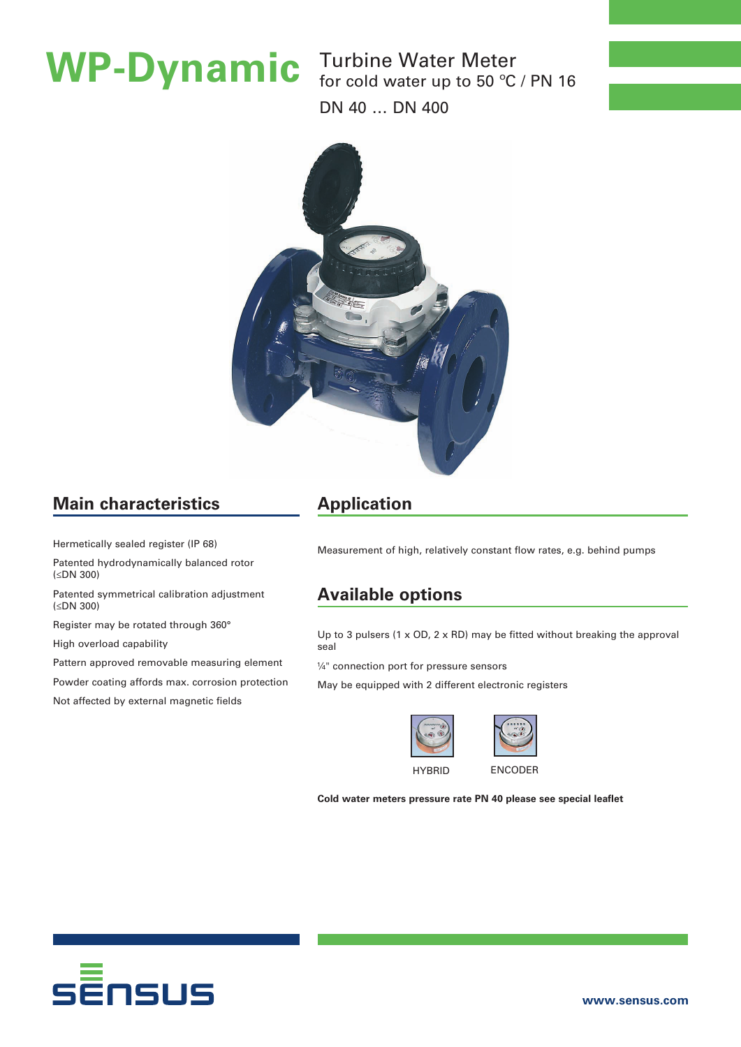Turbine Water Meter **WP-Dynamic** Turbine Water Meter<br>for cold water up to 50 °C / PN 16 DN 40 … DN 400



# **Main characteristics**

Hermetically sealed register (IP 68)

Patented hydrodynamically balanced rotor (≤DN 300)

Patented symmetrical calibration adjustment (≤DN 300)

Register may be rotated through 360°

High overload capability

Pattern approved removable measuring element

Powder coating affords max. corrosion protection

Not affected by external magnetic fields

# **Application**

Measurement of high, relatively constant flow rates, e.g. behind pumps

## **Available options**

Up to 3 pulsers (1  $\times$  OD, 2  $\times$  RD) may be fitted without breaking the approval seal

¼" connection port for pressure sensors

May be equipped with 2 different electronic registers





HYBRID ENCODER

**Cold water meters pressure rate PN 40 please see special leaflet**

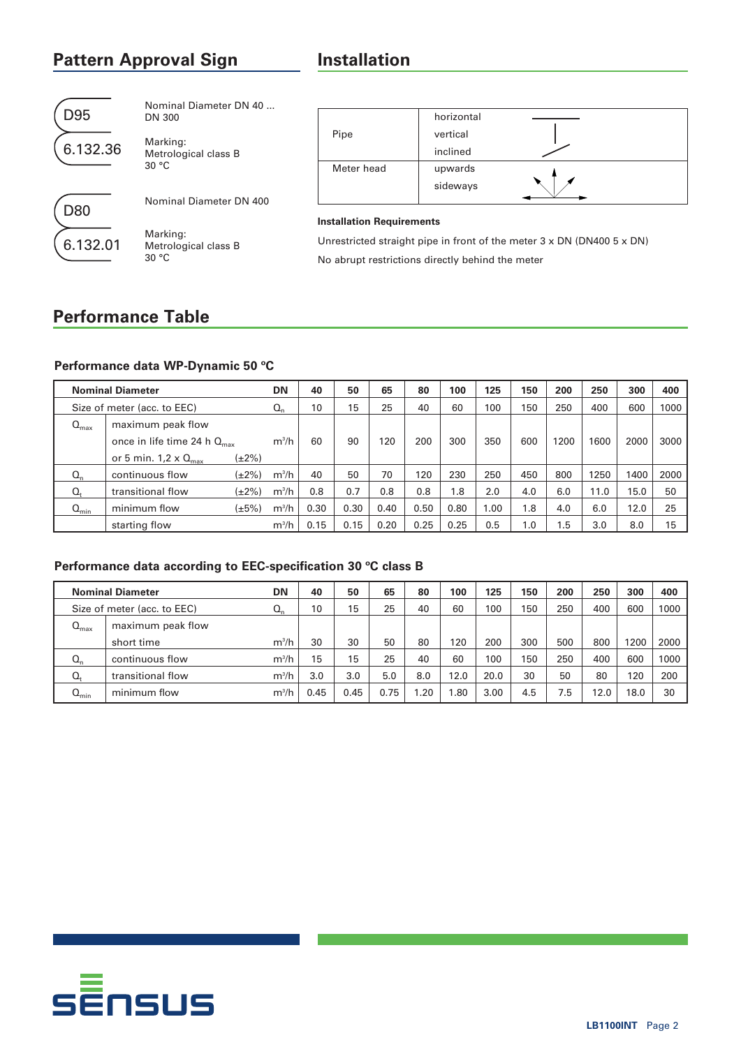# **Pattern Approval Sign bigger and all property**

| D95      | Nominal Diameter DN 40<br>DN 300          |
|----------|-------------------------------------------|
| 6.132.36 | Marking:<br>Metrological class B<br>30 °C |
|          | Nominal Diameter DN 400                   |

D80

6.132.01

Marking: Metrological class B 30 °C

|            | horizontal |  |
|------------|------------|--|
| Pipe       | vertical   |  |
|            | inclined   |  |
| Meter head | upwards    |  |
|            | sideways   |  |
|            |            |  |

### **Installation Requirements**

Unrestricted straight pipe in front of the meter 3 x DN (DN400 5 x DN) No abrupt restrictions directly behind the meter

## **Performance Table**

### **Performance data WP-Dynamic 50 ºC**

|                  | <b>Nominal Diameter</b>                 |             | DN      | 40   | 50   | 65   | 80   | 100  | 125  | 150  | 200  | 250  | 300  | 400  |
|------------------|-----------------------------------------|-------------|---------|------|------|------|------|------|------|------|------|------|------|------|
|                  | Size of meter (acc. to EEC)             |             | $Q_n$   | 10   | 15   | 25   | 40   | 60   | 100  | 150  | 250  | 400  | 600  | 1000 |
| $Q_{\text{max}}$ | maximum peak flow                       |             |         |      |      |      |      |      |      |      |      |      |      |      |
|                  | once in life time 24 h $Q_{\text{max}}$ |             | $m^3/h$ | 60   | 90   | 120  | 200  | 300  | 350  | 600  | 1200 | 1600 | 2000 | 3000 |
|                  | or 5 min. $1.2 \times Q_{\text{max}}$   | $(\pm 2\%)$ |         |      |      |      |      |      |      |      |      |      |      |      |
| $Q_n$            | continuous flow                         | (±2%)       | $m^3/h$ | 40   | 50   | 70   | 120  | 230  | 250  | 450  | 800  | 1250 | 1400 | 2000 |
| $Q_t$            | transitional flow                       | (±2%)       | $m^3/h$ | 0.8  | 0.7  | 0.8  | 0.8  | 1.8  | 2.0  | 4.0  | 6.0  | 11.0 | 15.0 | 50   |
| $Q_{\text{min}}$ | minimum flow                            | $(\pm 5\%)$ | $m^3/h$ | 0.30 | 0.30 | 0.40 | 0.50 | 0.80 | 1.00 | 1.8  | 4.0  | 6.0  | 12.0 | 25   |
|                  | starting flow                           |             | $m^3/h$ | 0.15 | 0.15 | 0.20 | 0.25 | 0.25 | 0.5  | 0. ا | 1.5  | 3.0  | 8.0  | 15   |

### **Performance data according to EEC-specification 30 ºC class B**

|                  | <b>Nominal Diameter</b>     | DN      | 40   | 50   | 65   | 80   | 100  | 125  | 150 | 200 | 250  | 300  | 400  |
|------------------|-----------------------------|---------|------|------|------|------|------|------|-----|-----|------|------|------|
|                  | Size of meter (acc. to EEC) | Q,      | 10   | 15   | 25   | 40   | 60   | 100  | 150 | 250 | 400  | 600  | 1000 |
| $Q_{\text{max}}$ | maximum peak flow           |         |      |      |      |      |      |      |     |     |      |      |      |
|                  | short time                  | $m^3/h$ | 30   | 30   | 50   | 80   | 120  | 200  | 300 | 500 | 800  | 1200 | 2000 |
| $Q_{n}$          | continuous flow             | $m^3/h$ | 15   | 15   | 25   | 40   | 60   | 100  | 150 | 250 | 400  | 600  | 1000 |
| $Q_t$            | transitional flow           | $m^3/h$ | 3.0  | 3.0  | 5.0  | 8.0  | 12.0 | 20.0 | 30  | 50  | 80   | 120  | 200  |
| $Q_{\text{min}}$ | minimum flow                | $m^3/h$ | 0.45 | 0.45 | 0.75 | 1.20 | 80،، | 3.00 | 4.5 | 7.5 | 12.0 | 18.0 | 30   |

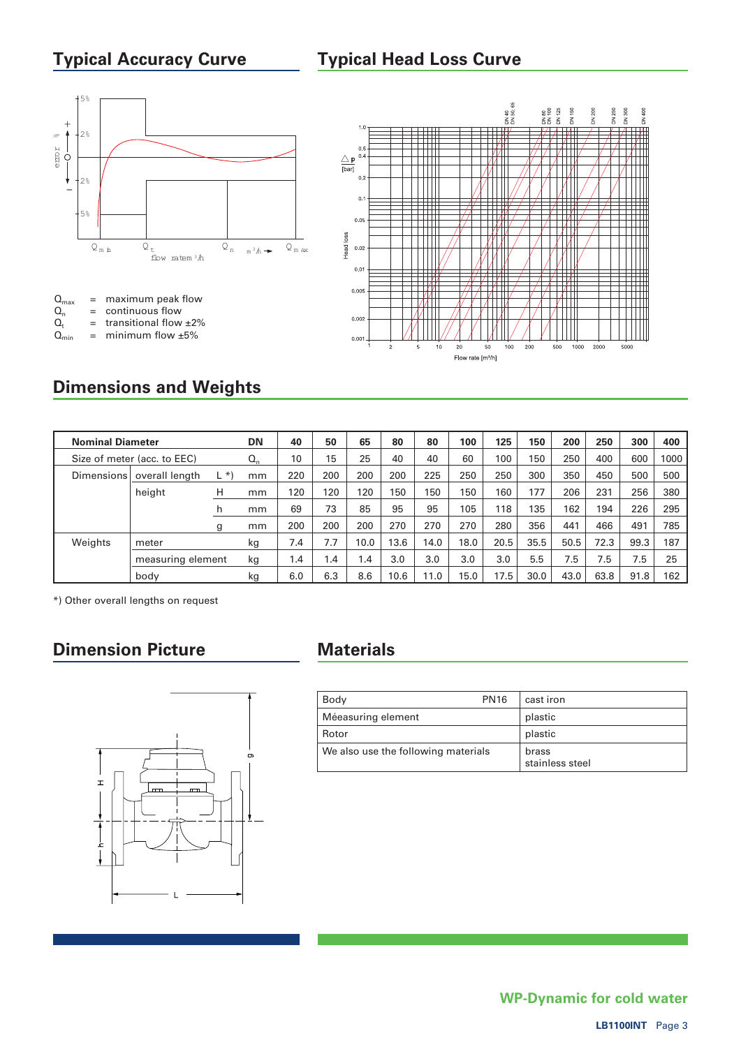# **Typical Accuracy Curve**

## **Typical Head Loss Curve**





# **Dimensions and Weights**

| <b>Nominal Diameter</b> |                             |      | <b>DN</b>                 | 40  | 50  | 65   | 80   | 80   | 100  | 125  | 150  | 200  | 250  | 300  | 400  |
|-------------------------|-----------------------------|------|---------------------------|-----|-----|------|------|------|------|------|------|------|------|------|------|
|                         | Size of meter (acc. to EEC) |      | $\mathsf{Q}_{\mathsf{n}}$ | 10  | 15  | 25   | 40   | 40   | 60   | 100  | 150  | 250  | 400  | 600  | 1000 |
| <b>Dimensions</b>       | overall length              | L *) | mm                        | 220 | 200 | 200  | 200  | 225  | 250  | 250  | 300  | 350  | 450  | 500  | 500  |
|                         | height                      | H    | mm                        | 120 | 120 | 120  | 150  | 150  | 150  | 160  | 177  | 206  | 231  | 256  | 380  |
|                         |                             | h    | mm                        | 69  | 73  | 85   | 95   | 95   | 105  | 118  | 135  | 162  | 194  | 226  | 295  |
|                         |                             | g    | mm                        | 200 | 200 | 200  | 270  | 270  | 270  | 280  | 356  | 441  | 466  | 491  | 785  |
| Weights                 | meter                       |      | kg                        | 7.4 | 7.7 | 10.0 | 13.6 | 14.0 | 18.0 | 20.5 | 35.5 | 50.5 | 72.3 | 99.3 | 187  |
|                         | measuring element           |      | kg                        | 1.4 | 1.4 | 1.4  | 3.0  | 3.0  | 3.0  | 3.0  | 5.5  | 7.5  | 7.5  | 7.5  | 25   |
|                         | body                        |      | kg                        | 6.0 | 6.3 | 8.6  | 10.6 | 11.0 | 15.0 | 17.5 | 30.0 | 43.0 | 63.8 | 91.8 | 162  |

\*) Other overall lengths on request

# **Dimension Picture Materials**



| Body                                | <b>PN16</b> | cast iron                |
|-------------------------------------|-------------|--------------------------|
| Méeasuring element                  |             | plastic                  |
| Rotor                               |             | plastic                  |
| We also use the following materials |             | brass<br>stainless steel |